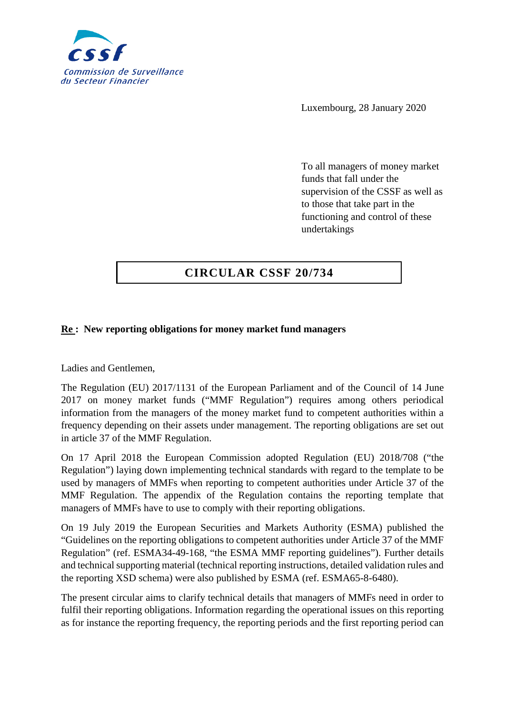

Luxembourg, 28 January 2020

To all managers of money market funds that fall under the supervision of the CSSF as well as to those that take part in the functioning and control of these undertakings

## **CIRCULAR CSSF 20/734**

## **Re : New reporting obligations for money market fund managers**

Ladies and Gentlemen,

The Regulation (EU) 2017/1131 of the European Parliament and of the Council of 14 June 2017 on money market funds ("MMF Regulation") requires among others periodical information from the managers of the money market fund to competent authorities within a frequency depending on their assets under management. The reporting obligations are set out in article 37 of the MMF Regulation.

On 17 April 2018 the European Commission adopted Regulation (EU) 2018/708 ("the Regulation") laying down implementing technical standards with regard to the template to be used by managers of MMFs when reporting to competent authorities under Article 37 of the MMF Regulation. The appendix of the Regulation contains the reporting template that managers of MMFs have to use to comply with their reporting obligations.

On 19 July 2019 the European Securities and Markets Authority (ESMA) published the "Guidelines on the reporting obligations to competent authorities under Article 37 of the MMF Regulation" (ref. ESMA34-49-168, "the ESMA MMF reporting guidelines"). Further details and technical supporting material (technical reporting instructions, detailed validation rules and the reporting XSD schema) were also published by ESMA (ref. ESMA65-8-6480).

The present circular aims to clarify technical details that managers of MMFs need in order to fulfil their reporting obligations. Information regarding the operational issues on this reporting as for instance the reporting frequency, the reporting periods and the first reporting period can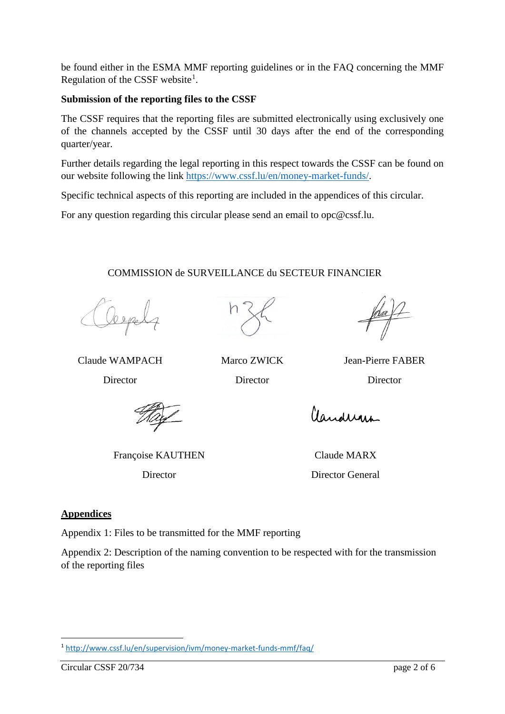be found either in the ESMA MMF reporting guidelines or in the FAQ concerning the MMF Regulation of the CSSF website<sup>[1](#page-1-0)</sup>.

### **Submission of the reporting files to the CSSF**

The CSSF requires that the reporting files are submitted electronically using exclusively one of the channels accepted by the CSSF until 30 days after the end of the corresponding quarter/year.

Further details regarding the legal reporting in this respect towards the CSSF can be found on our website following the link [https://www.cssf.lu/en/money-market-funds/.](https://www.cssf.lu/en/money-market-funds/)

Specific technical aspects of this reporting are included in the appendices of this circular.

For any question regarding this circular please send an email to opc@cssf.lu.

## COMMISSION de SURVEILLANCE du SECTEUR FINANCIER



Director Director Director

Claude WAMPACH Marco ZWICK Jean-Pierre FABER

Françoise KAUTHEN Claude MARX

# Claudenan

Director Director General

## **Appendices**

Appendix 1: Files to be transmitted for the MMF reporting

Appendix 2: Description of the naming convention to be respected with for the transmission of the reporting files

<span id="page-1-0"></span> <sup>1</sup> <http://www.cssf.lu/en/supervision/ivm/money-market-funds-mmf/faq/>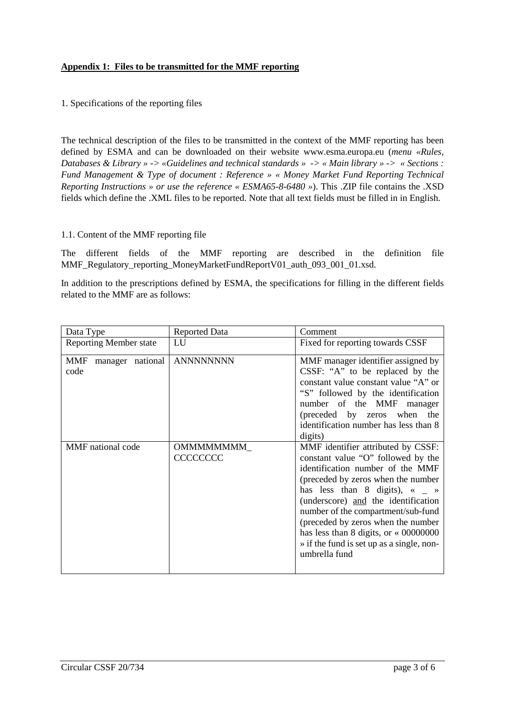#### **Appendix 1: Files to be transmitted for the MMF reporting**

#### 1. Specifications of the reporting files

The technical description of the files to be transmitted in the context of the MMF reporting has been defined by ESMA and can be downloaded on their website www.esma.europa.eu (*menu «Rules, Databases & Library » -> «Guidelines and technical standards » -> « Main library » -> « Sections : Fund Management & Type of document : Reference » « [Money Market Fund Reporting Technical](https://www.esma.europa.eu/sites/default/files/library/esma65-8-6480_money_market_fund_reporting_technical_reporting_instructions.zip)  [Reporting Instructions](https://www.esma.europa.eu/sites/default/files/library/esma65-8-6480_money_market_fund_reporting_technical_reporting_instructions.zip) » or use the reference « ESMA65-8-6480 »*). This .ZIP file contains the .XSD fields which define the .XML files to be reported. Note that all text fields must be filled in in English.

#### 1.1. Content of the MMF reporting file

The different fields of the MMF reporting are described in the definition file MMF\_Regulatory\_reporting\_MoneyMarketFundReportV01\_auth\_093\_001\_01.xsd.

In addition to the prescriptions defined by ESMA, the specifications for filling in the different fields related to the MMF are as follows:

| Data Type                       | <b>Reported Data</b>           | Comment                                                                                                                                                                                                                                                                                                                                                                                                                        |
|---------------------------------|--------------------------------|--------------------------------------------------------------------------------------------------------------------------------------------------------------------------------------------------------------------------------------------------------------------------------------------------------------------------------------------------------------------------------------------------------------------------------|
| <b>Reporting Member state</b>   | LU                             | Fixed for reporting towards CSSF                                                                                                                                                                                                                                                                                                                                                                                               |
| MMF<br>manager national<br>code | <b>ANNNNNNNN</b>               | MMF manager identifier assigned by<br>CSSF: "A" to be replaced by the<br>constant value constant value "A" or<br>"S" followed by the identification<br>number of the MMF<br>manager<br>(preceded by zeros when the<br>identification number has less than 8<br>digits)                                                                                                                                                         |
| MMF national code               | OMMMMMMMM_<br><b>CCCCCCCCC</b> | MMF identifier attributed by CSSF:<br>constant value "O" followed by the<br>identification number of the MMF<br>(preceded by zeros when the number<br>has less than 8 digits), $\alpha$ $\alpha$<br>(underscore) and the identification<br>number of the compartment/sub-fund<br>(preceded by zeros when the number<br>has less than 8 digits, or $\ll 00000000$<br>» if the fund is set up as a single, non-<br>umbrella fund |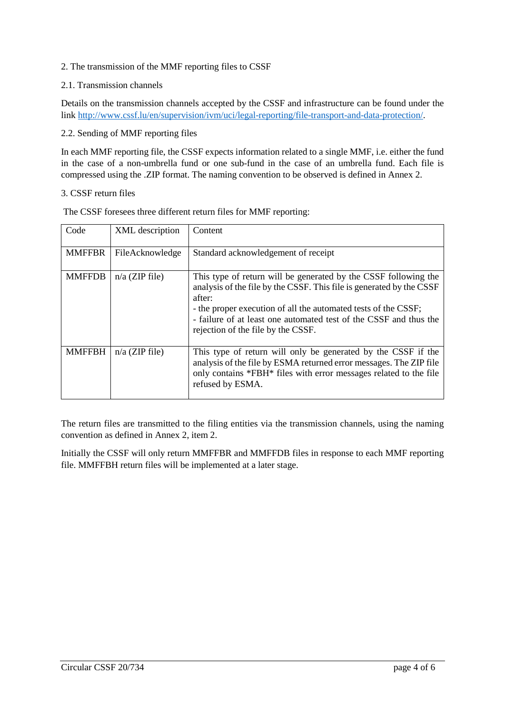#### 2. The transmission of the MMF reporting files to CSSF

#### 2.1. Transmission channels

Details on the transmission channels accepted by the CSSF and infrastructure can be found under the link [http://www.cssf.lu/en/supervision/ivm/uci/legal-reporting/file-transport-and-data-protection/.](http://www.cssf.lu/en/supervision/ivm/uci/legal-reporting/file-transport-and-data-protection/)

#### 2.2. Sending of MMF reporting files

In each MMF reporting file, the CSSF expects information related to a single MMF, i.e. either the fund in the case of a non-umbrella fund or one sub-fund in the case of an umbrella fund. Each file is compressed using the .ZIP format. The naming convention to be observed is defined in Annex 2.

#### 3. CSSF return files

| Code          | XML description  | Content                                                                                                                                                                                                                                                                                                                        |  |  |
|---------------|------------------|--------------------------------------------------------------------------------------------------------------------------------------------------------------------------------------------------------------------------------------------------------------------------------------------------------------------------------|--|--|
| <b>MMFFBR</b> | FileAcknowledge  | Standard acknowledgement of receipt                                                                                                                                                                                                                                                                                            |  |  |
| <b>MMFFDB</b> | $n/a$ (ZIP file) | This type of return will be generated by the CSSF following the<br>analysis of the file by the CSSF. This file is generated by the CSSF<br>after:<br>- the proper execution of all the automated tests of the CSSF;<br>- failure of at least one automated test of the CSSF and thus the<br>rejection of the file by the CSSF. |  |  |
| <b>MMFFBH</b> | $n/a$ (ZIP file) | This type of return will only be generated by the CSSF if the<br>analysis of the file by ESMA returned error messages. The ZIP file<br>only contains *FBH* files with error messages related to the file<br>refused by ESMA.                                                                                                   |  |  |

The CSSF foresees three different return files for MMF reporting:

The return files are transmitted to the filing entities via the transmission channels, using the naming convention as defined in Annex 2, item 2.

Initially the CSSF will only return MMFFBR and MMFFDB files in response to each MMF reporting file. MMFFBH return files will be implemented at a later stage.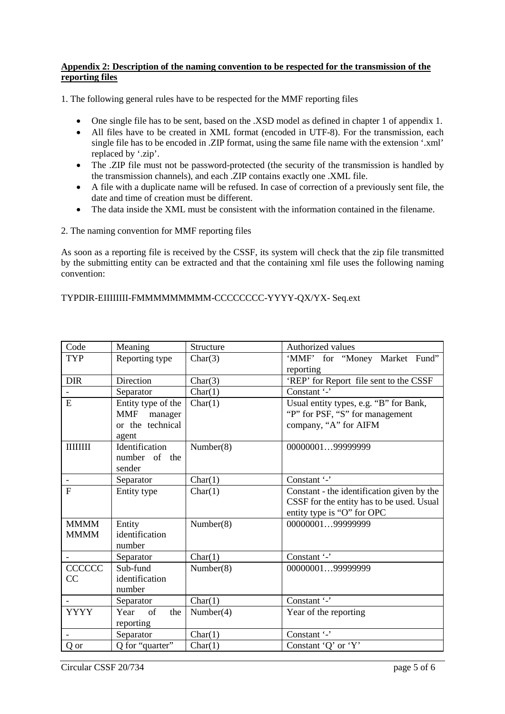#### **Appendix 2: Description of the naming convention to be respected for the transmission of the reporting files**

1. The following general rules have to be respected for the MMF reporting files

- One single file has to be sent, based on the .XSD model as defined in chapter 1 of appendix 1.
- All files have to be created in XML format (encoded in UTF-8). For the transmission, each single file has to be encoded in .ZIP format, using the same file name with the extension '.xml' replaced by '.zip'.
- The .ZIP file must not be password-protected (the security of the transmission is handled by the transmission channels), and each .ZIP contains exactly one .XML file.
- A file with a duplicate name will be refused. In case of correction of a previously sent file, the date and time of creation must be different.
- The data inside the XML must be consistent with the information contained in the filename.

2. The naming convention for MMF reporting files

As soon as a reporting file is received by the CSSF, its system will check that the zip file transmitted by the submitting entity can be extracted and that the containing xml file uses the following naming convention:

#### TYPDIR-EIIIIIIII-FMMMMMMMMM-CCCCCCCC-YYYY-QX/YX- Seq.ext

| Code                       | Meaning                                                        | Structure | Authorized values                                                                                                     |
|----------------------------|----------------------------------------------------------------|-----------|-----------------------------------------------------------------------------------------------------------------------|
| <b>TYP</b>                 | Reporting type                                                 | Char(3)   | 'MMF' for "Money Market Fund"<br>reporting                                                                            |
| <b>DIR</b>                 | Direction                                                      | Char(3)   | 'REP' for Report file sent to the CSSF                                                                                |
|                            | Separator                                                      | Char(1)   | Constant '-'                                                                                                          |
| E                          | Entity type of the<br>MMF manager<br>or the technical<br>agent | Char(1)   | Usual entity types, e.g. "B" for Bank,<br>"P" for PSF, "S" for management<br>company, "A" for AIFM                    |
| <b>HIHHH</b>               | Identification<br>number of the<br>sender                      | Number(8) | 0000000199999999                                                                                                      |
|                            | Separator                                                      | Char(1)   | Constant '-'                                                                                                          |
| $\overline{F}$             | Entity type                                                    | Char(1)   | Constant - the identification given by the<br>CSSF for the entity has to be used. Usual<br>entity type is "O" for OPC |
| <b>MMMM</b><br><b>MMMM</b> | Entity<br>identification<br>number                             | Number(8) | 0000000199999999                                                                                                      |
|                            | Separator                                                      | Char(1)   | Constant '-'                                                                                                          |
| <b>CCCCCC</b><br>CC        | Sub-fund<br>identification<br>number                           | Number(8) | 0000000199999999                                                                                                      |
|                            | Separator                                                      | Char(1)   | Constant '-'                                                                                                          |
| <b>YYYY</b>                | of<br>the<br>Year<br>reporting                                 | Number(4) | Year of the reporting                                                                                                 |
|                            | Separator                                                      | Char(1)   | Constant '-'                                                                                                          |
| Q or                       | Q for "quarter"                                                | Char(1)   | Constant 'Q' or 'Y'                                                                                                   |